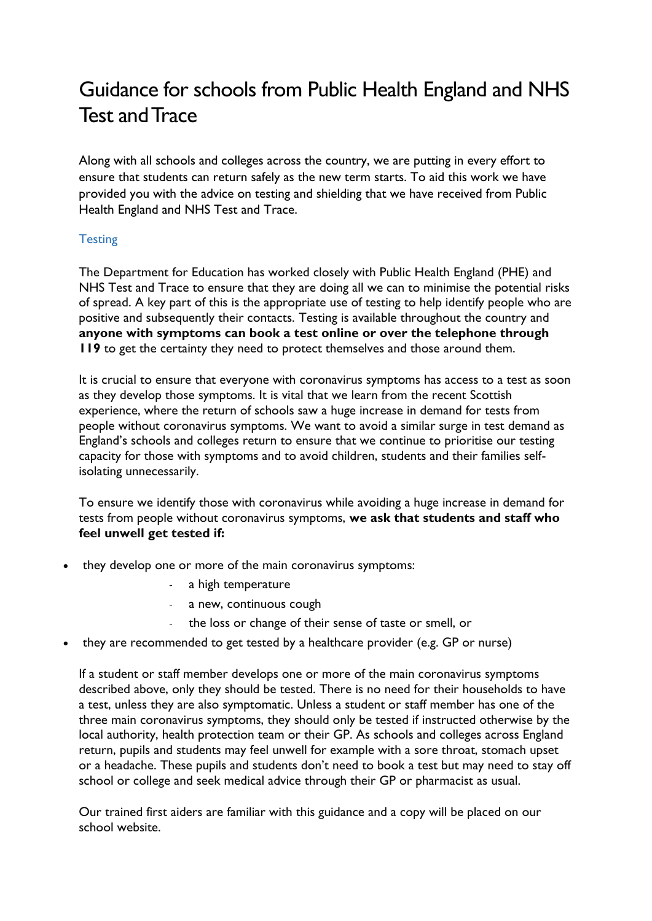## Guidance for schools from Public Health England and NHS Test and Trace

Along with all schools and colleges across the country, we are putting in every effort to ensure that students can return safely as the new term starts. To aid this work we have provided you with the advice on testing and shielding that we have received from Public Health England and NHS Test and Trace.

## **Testing**

The Department for Education has worked closely with Public Health England (PHE) and NHS Test and Trace to ensure that they are doing all we can to minimise the potential risks of spread. A key part of this is the appropriate use of testing to help identify people who are positive and subsequently their contacts. Testing is available throughout the country and **anyone with symptoms can book a test online or over the telephone through 119** to get the certainty they need to protect themselves and those around them.

It is crucial to ensure that everyone with coronavirus symptoms has access to a test as soon as they develop those symptoms. It is vital that we learn from the recent Scottish experience, where the return of schools saw a huge increase in demand for tests from people without coronavirus symptoms. We want to avoid a similar surge in test demand as England's schools and colleges return to ensure that we continue to prioritise our testing capacity for those with symptoms and to avoid children, students and their families selfisolating unnecessarily.

To ensure we identify those with coronavirus while avoiding a huge increase in demand for tests from people without coronavirus symptoms, **we ask that students and staff who feel unwell get tested if:**

- they develop one or more of the main coronavirus symptoms:
	- a high temperature
	- a new, continuous cough
	- the loss or change of their sense of taste or smell, or
- they are recommended to get tested by a healthcare provider (e.g. GP or nurse)

If a student or staff member develops one or more of the main coronavirus symptoms described above, only they should be tested. There is no need for their households to have a test, unless they are also symptomatic. Unless a student or staff member has one of the three main coronavirus symptoms, they should only be tested if instructed otherwise by the local authority, health protection team or their GP. As schools and colleges across England return, pupils and students may feel unwell for example with a sore throat, stomach upset or a headache. These pupils and students don't need to book a test but may need to stay off school or college and seek medical advice through their GP or pharmacist as usual.

Our trained first aiders are familiar with this guidance and a copy will be placed on our school website.